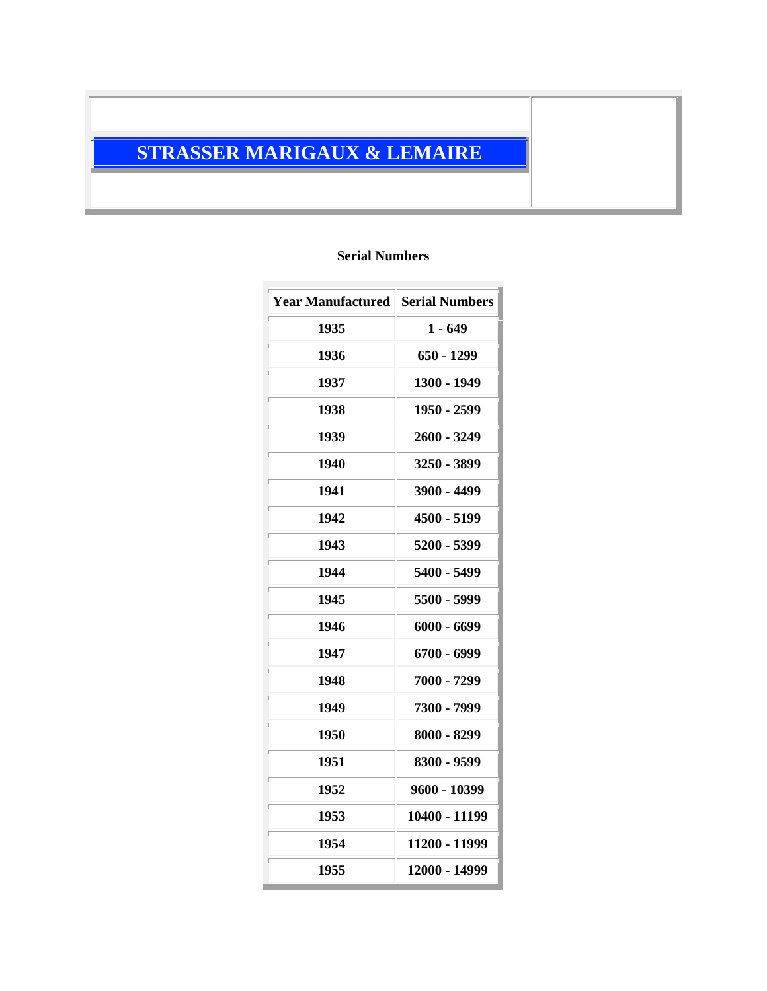## **STRASSER MARIGAUX & LEMAIRE**

## **Serial Numbers**

| <b>Year Manufactured Serial Numbers</b> |               |
|-----------------------------------------|---------------|
| 1935                                    | $1 - 649$     |
| 1936                                    | $650 - 1299$  |
| 1937                                    | 1300 - 1949   |
| 1938                                    | 1950 - 2599   |
| 1939                                    | 2600 - 3249   |
| 1940                                    | 3250 - 3899   |
| 1941                                    | 3900 - 4499   |
| 1942                                    | 4500 - 5199   |
| 1943                                    | 5200 - 5399   |
| 1944                                    | 5400 - 5499   |
| 1945                                    | 5500 - 5999   |
| 1946                                    | $6000 - 6699$ |
| 1947                                    | 6700 - 6999   |
| 1948                                    | 7000 - 7299   |
| 1949                                    | 7300 - 7999   |
| 1950                                    | 8000 - 8299   |
| 1951                                    | 8300 - 9599   |
| 1952                                    | 9600 - 10399  |
| 1953                                    | 10400 - 11199 |
| 1954                                    | 11200 - 11999 |
| 1955                                    | 12000 - 14999 |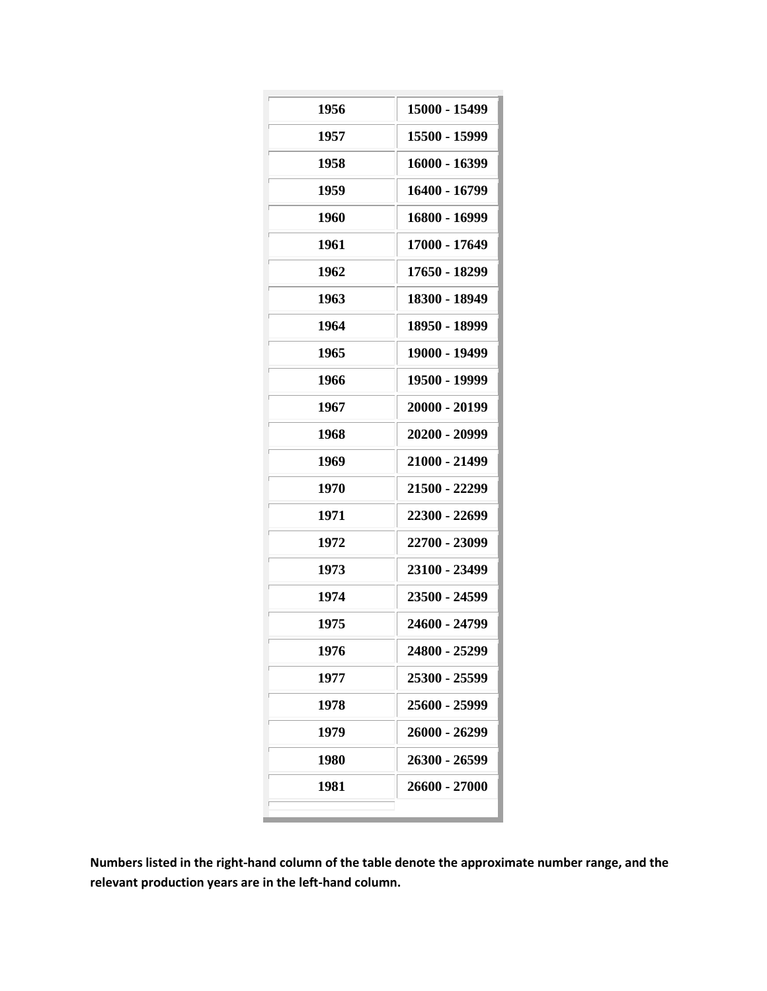| 1956 | 15000 - 15499 |
|------|---------------|
| 1957 | 15500 - 15999 |
| 1958 | 16000 - 16399 |
| 1959 | 16400 - 16799 |
| 1960 | 16800 - 16999 |
| 1961 | 17000 - 17649 |
| 1962 | 17650 - 18299 |
| 1963 | 18300 - 18949 |
| 1964 | 18950 - 18999 |
| 1965 | 19000 - 19499 |
| 1966 | 19500 - 19999 |
| 1967 | 20000 - 20199 |
| 1968 | 20200 - 20999 |
| 1969 | 21000 - 21499 |
| 1970 | 21500 - 22299 |
| 1971 | 22300 - 22699 |
| 1972 | 22700 - 23099 |
| 1973 | 23100 - 23499 |
| 1974 | 23500 - 24599 |
| 1975 | 24600 - 24799 |
| 1976 | 24800 - 25299 |
| 1977 | 25300 - 25599 |
| 1978 | 25600 - 25999 |
| 1979 | 26000 - 26299 |
| 1980 | 26300 - 26599 |
| 1981 | 26600 - 27000 |
|      |               |

**Numbers listed in the right-hand column of the table denote the approximate number range, and the relevant production years are in the left-hand column.**